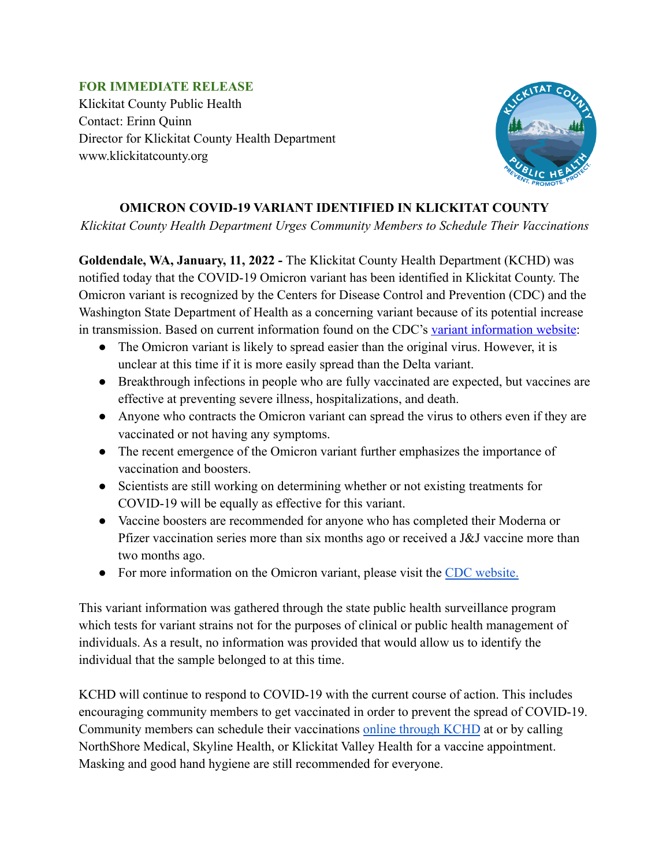## **FOR IMMEDIATE RELEASE**

Klickitat County Public Health Contact: Erinn Quinn Director for Klickitat County Health Department www.klickitatcounty.org



## **OMICRON COVID-19 VARIANT IDENTIFIED IN KLICKITAT COUNTY**

*Klickitat County Health Department Urges Community Members to Schedule Their Vaccinations*

**Goldendale, WA, January, 11, 2022 -** The Klickitat County Health Department (KCHD) was notified today that the COVID-19 Omicron variant has been identified in Klickitat County. The Omicron variant is recognized by the Centers for Disease Control and Prevention (CDC) and the Washington State Department of Health as a concerning variant because of its potential increase in transmission. Based on current information found on the CDC's [variant information website:](https://www.cdc.gov/coronavirus/2019-ncov/variants/variant-info.html#Concern)

- The Omicron variant is likely to spread easier than the original virus. However, it is unclear at this time if it is more easily spread than the Delta variant.
- Breakthrough infections in people who are fully vaccinated are expected, but vaccines are effective at preventing severe illness, hospitalizations, and death.
- Anyone who contracts the Omicron variant can spread the virus to others even if they are vaccinated or not having any symptoms.
- The recent emergence of the Omicron variant further emphasizes the importance of vaccination and boosters.
- Scientists are still working on determining whether or not existing treatments for COVID-19 will be equally as effective for this variant.
- Vaccine boosters are recommended for anyone who has completed their Moderna or Pfizer vaccination series more than six months ago or received a J&J vaccine more than two months ago.
- For more information on the Omicron variant, please visit the [CDC website.](https://www.cdc.gov/coronavirus/2019-ncov/variants/omicron-variant.html)

This variant information was gathered through the state public health surveillance program which tests for variant strains not for the purposes of clinical or public health management of individuals. As a result, no information was provided that would allow us to identify the individual that the sample belonged to at this time.

KCHD will continue to respond to COVID-19 with the current course of action. This includes encouraging community members to get vaccinated in order to prevent the spread of COVID-19. Community members can schedule their vaccinations [online through KCHD](https://us1.quickscreen.health/klickitat-county-vaccination#/screening) at or by calling NorthShore Medical, Skyline Health, or Klickitat Valley Health for a vaccine appointment. Masking and good hand hygiene are still recommended for everyone.